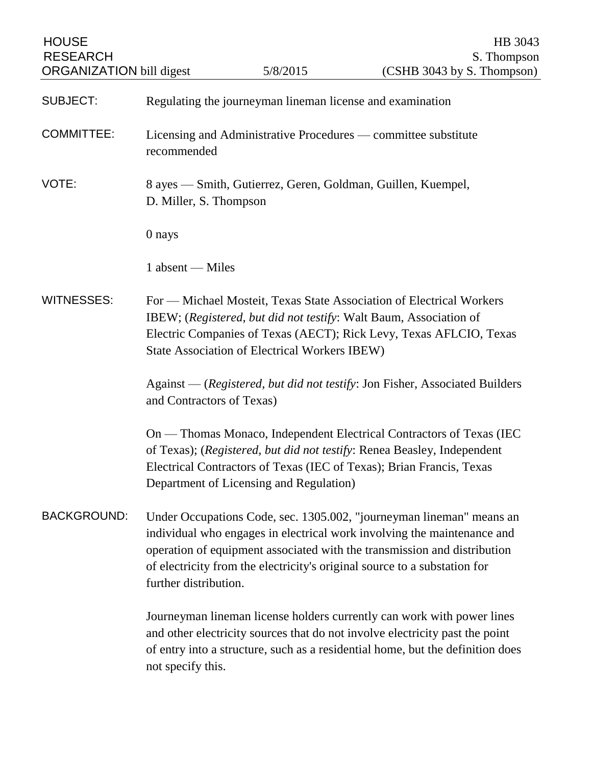| <b>HOUSE</b><br><b>RESEARCH</b><br>ORGANIZATION bill digest |                                                                                                                                                                                                                                                                  | 5/8/2015                                | HB 3043<br>S. Thompson<br>(CSHB 3043 by S. Thompson)                                                                                                                                                                                                                                                     |
|-------------------------------------------------------------|------------------------------------------------------------------------------------------------------------------------------------------------------------------------------------------------------------------------------------------------------------------|-----------------------------------------|----------------------------------------------------------------------------------------------------------------------------------------------------------------------------------------------------------------------------------------------------------------------------------------------------------|
| <b>SUBJECT:</b>                                             | Regulating the journeyman lineman license and examination                                                                                                                                                                                                        |                                         |                                                                                                                                                                                                                                                                                                          |
| <b>COMMITTEE:</b>                                           | Licensing and Administrative Procedures — committee substitute<br>recommended                                                                                                                                                                                    |                                         |                                                                                                                                                                                                                                                                                                          |
| VOTE:                                                       | 8 ayes — Smith, Gutierrez, Geren, Goldman, Guillen, Kuempel,<br>D. Miller, S. Thompson                                                                                                                                                                           |                                         |                                                                                                                                                                                                                                                                                                          |
|                                                             | 0 nays                                                                                                                                                                                                                                                           |                                         |                                                                                                                                                                                                                                                                                                          |
|                                                             | 1 absent — Miles                                                                                                                                                                                                                                                 |                                         |                                                                                                                                                                                                                                                                                                          |
| <b>WITNESSES:</b>                                           | For — Michael Mosteit, Texas State Association of Electrical Workers<br>IBEW; (Registered, but did not testify: Walt Baum, Association of<br>Electric Companies of Texas (AECT); Rick Levy, Texas AFLCIO, Texas<br>State Association of Electrical Workers IBEW) |                                         |                                                                                                                                                                                                                                                                                                          |
|                                                             | Against — (Registered, but did not testify: Jon Fisher, Associated Builders<br>and Contractors of Texas)                                                                                                                                                         |                                         |                                                                                                                                                                                                                                                                                                          |
|                                                             |                                                                                                                                                                                                                                                                  | Department of Licensing and Regulation) | On — Thomas Monaco, Independent Electrical Contractors of Texas (IEC<br>of Texas); (Registered, but did not testify: Renea Beasley, Independent<br>Electrical Contractors of Texas (IEC of Texas); Brian Francis, Texas                                                                                  |
| <b>BACKGROUND:</b>                                          | further distribution.                                                                                                                                                                                                                                            |                                         | Under Occupations Code, sec. 1305.002, "journeyman lineman" means an<br>individual who engages in electrical work involving the maintenance and<br>operation of equipment associated with the transmission and distribution<br>of electricity from the electricity's original source to a substation for |
|                                                             | not specify this.                                                                                                                                                                                                                                                |                                         | Journeyman lineman license holders currently can work with power lines<br>and other electricity sources that do not involve electricity past the point<br>of entry into a structure, such as a residential home, but the definition does                                                                 |